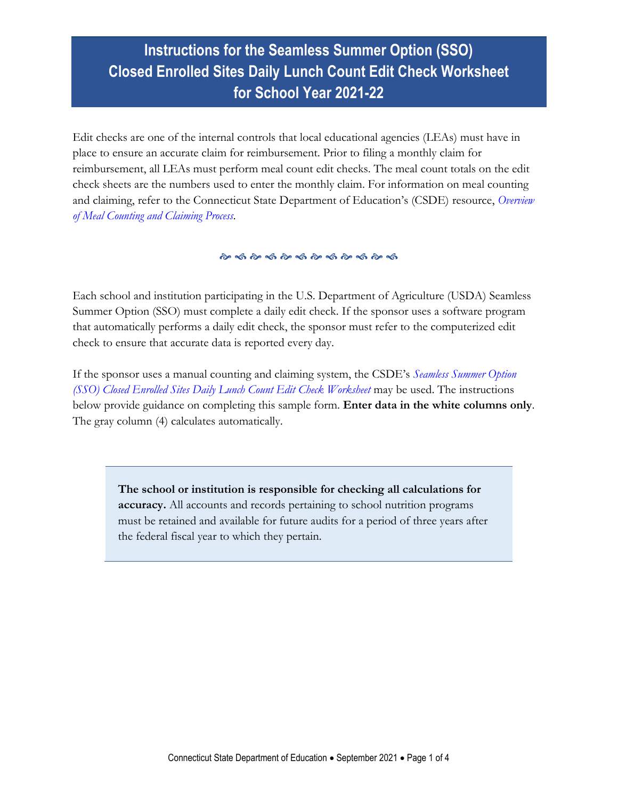# **Instructions for the Seamless Summer Option (SSO) Closed Enrolled Sites Daily Lunch Count Edit Check Worksheet for School Year 2021-22**

Edit checks are one of the internal controls that local educational agencies (LEAs) must have in place to ensure an accurate claim for reimbursement. Prior to filing a monthly claim for reimbursement, all LEAs must perform meal count edit checks. The meal count totals on the edit check sheets are the numbers used to enter the monthly claim. For information on meal counting and claiming, refer to the Connecticut State Department of Education's (CSDE) resource, *[Overview](https://portal.ct.gov/-/media/SDE/Nutrition/NSLP/Forms/MealCount/Overview_Meal_Counting_Claiming_SNP.pdf)  [of Meal Counting and Claiming Process.](https://portal.ct.gov/-/media/SDE/Nutrition/NSLP/Forms/MealCount/Overview_Meal_Counting_Claiming_SNP.pdf)*

#### 

Each school and institution participating in the U.S. Department of Agriculture (USDA) Seamless Summer Option (SSO) must complete a daily edit check. If the sponsor uses a software program that automatically performs a daily edit check, the sponsor must refer to the computerized edit check to ensure that accurate data is reported every day.

If the sponsor uses a manual counting and claiming system, the CSDE's *[Seamless Summer Option](https://portal.ct.gov/-/media/SDE/Nutrition/NSLP/Forms/MealCount/Edit_Check_Worksheet_Lunch_SSO.xlsx)  [\(SSO\) Closed Enrolled Sites Daily Lunch Count Edit Check Worksheet](https://portal.ct.gov/-/media/SDE/Nutrition/NSLP/Forms/MealCount/Edit_Check_Worksheet_Lunch_SSO.xlsx)* may be used. The instructions below provide guidance on completing this sample form. **Enter data in the white columns only**. The gray column (4) calculates automatically.

**The school or institution is responsible for checking all calculations for accuracy.** All accounts and records pertaining to school nutrition programs must be retained and available for future audits for a period of three years after the federal fiscal year to which they pertain.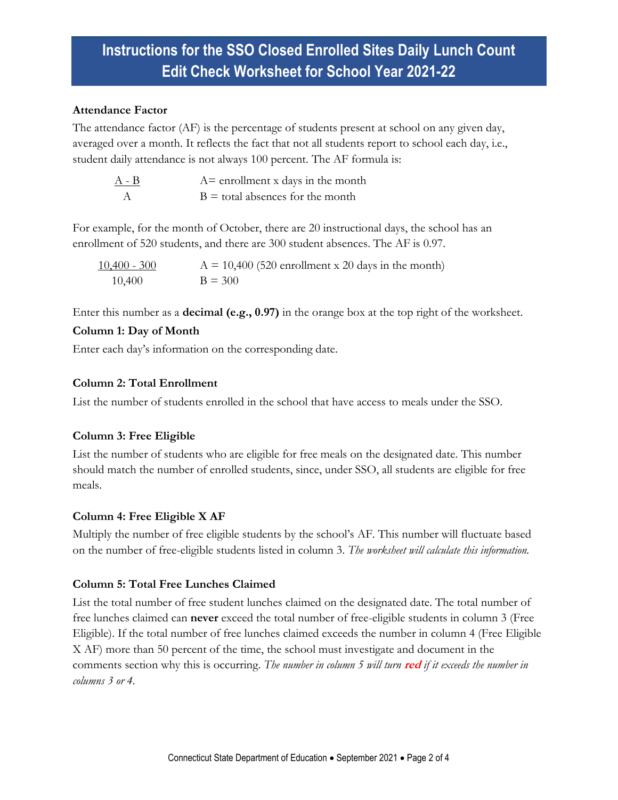# **Instructions for the SSO Closed Enrolled Sites Daily Lunch Count Edit Check Worksheet for School Year 2021-22**

#### **Attendance Factor**

The attendance factor (AF) is the percentage of students present at school on any given day, averaged over a month. It reflects the fact that not all students report to school each day, i.e., student daily attendance is not always 100 percent. The AF formula is:

| $A - B$ | $A =$ enrollment x days in the month |
|---------|--------------------------------------|
|         | $B =$ total absences for the month   |

For example, for the month of October, there are 20 instructional days, the school has an enrollment of 520 students, and there are 300 student absences. The AF is 0.97.

 $10,400 - 300$  A = 10,400 (520 enrollment x 20 days in the month) 10,400  $B = 300$ 

Enter this number as a **decimal (e.g., 0.97)** in the orange box at the top right of the worksheet.

### **Column 1: Day of Month**

Enter each day's information on the corresponding date.

### **Column 2: Total Enrollment**

List the number of students enrolled in the school that have access to meals under the SSO.

## **Column 3: Free Eligible**

List the number of students who are eligible for free meals on the designated date. This number should match the number of enrolled students, since, under SSO, all students are eligible for free meals.

## **Column 4: Free Eligible X AF**

Multiply the number of free eligible students by the school's AF. This number will fluctuate based on the number of free-eligible students listed in column 3. *The worksheet will calculate this information.*

## **Column 5: Total Free Lunches Claimed**

List the total number of free student lunches claimed on the designated date. The total number of free lunches claimed can **never** exceed the total number of free-eligible students in column 3 (Free Eligible). If the total number of free lunches claimed exceeds the number in column 4 (Free Eligible X AF) more than 50 percent of the time, the school must investigate and document in the comments section why this is occurring. *The number in column 5 will turn* **red** *if it exceeds the number in columns 3 or 4.*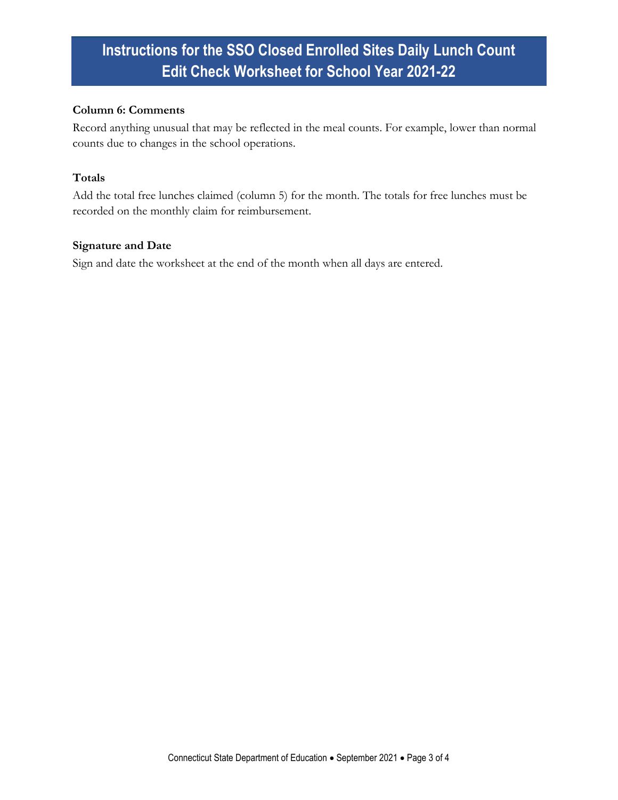# **Instructions for the SSO Closed Enrolled Sites Daily Lunch Count Edit Check Worksheet for School Year 2021-22**

#### **Column 6: Comments**

Record anything unusual that may be reflected in the meal counts. For example, lower than normal counts due to changes in the school operations.

#### **Totals**

Add the total free lunches claimed (column 5) for the month. The totals for free lunches must be recorded on the monthly claim for reimbursement.

#### **Signature and Date**

Sign and date the worksheet at the end of the month when all days are entered.